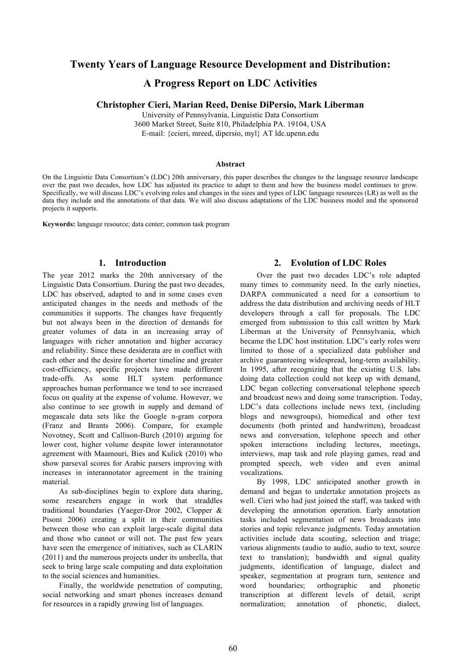# **Twenty Years of Language Resource Development and Distribution:**

## **A Progress Report on LDC Activities**

## **Christopher Cieri, Marian Reed, Denise DiPersio, Mark Liberman**

University of Pennsylvania, Linguistic Data Consortium 3600 Market Street, Suite 810, Philadelphia PA. 19104, USA E-mail: {ccieri, mreed, dipersio, myl} AT ldc.upenn.edu

#### **Abstract**

On the Linguistic Data Consortium's (LDC) 20th anniversary, this paper describes the changes to the language resource landscape over the past two decades, how LDC has adjusted its practice to adapt to them and how the business model continues to grow. Specifically, we will discuss LDC's evolving roles and changes in the sizes and types of LDC language resources (LR) as well as the data they include and the annotations of that data. We will also discuss adaptations of the LDC business model and the sponsored projects it supports.

**Keywords:** language resource; data center; common task program

## **1. Introduction**

The year 2012 marks the 20th anniversary of the Linguistic Data Consortium. During the past two decades, LDC has observed, adapted to and in some cases even anticipated changes in the needs and methods of the communities it supports. The changes have frequently but not always been in the direction of demands for greater volumes of data in an increasing array of languages with richer annotation and higher accuracy and reliability. Since these desiderata are in conflict with each other and the desire for shorter timeline and greater cost-efficiency, specific projects have made different trade-offs. As some HLT system performance approaches human performance we tend to see increased focus on quality at the expense of volume. However, we also continue to see growth in supply and demand of megascale data sets like the Google n-gram corpora (Franz and Brants 2006). Compare, for example Novotney, Scott and Callison-Burch (2010) arguing for lower cost, higher volume despite lower interannotator agreement with Maamouri, Bies and Kulick (2010) who show parseval scores for Arabic parsers improving with increases in interannotator agreement in the training material.

As sub-disciplines begin to explore data sharing, some researchers engage in work that straddles traditional boundaries (Yaeger-Dror 2002, Clopper & Pisoni 2006) creating a split in their communities between those who can exploit large-scale digital data and those who cannot or will not. The past few years have seen the emergence of initiatives, such as CLARIN (2011) and the numerous projects under its umbrella, that seek to bring large scale computing and data exploitation to the social sciences and humanities.

Finally, the worldwide penetration of computing, social networking and smart phones increases demand for resources in a rapidly growing list of languages.

## **2. Evolution of LDC Roles**

Over the past two decades LDC's role adapted many times to community need. In the early nineties, DARPA communicated a need for a consortium to address the data distribution and archiving needs of HLT developers through a call for proposals. The LDC emerged from submission to this call written by Mark Liberman at the University of Pennsylvania, which became the LDC host institution. LDC's early roles were limited to those of a specialized data publisher and archive guaranteeing widespread, long-term availability. In 1995, after recognizing that the existing U.S. labs doing data collection could not keep up with demand, LDC began collecting conversational telephone speech and broadcast news and doing some transcription. Today, LDC's data collections include news text, (including blogs and newsgroups), biomedical and other text documents (both printed and handwritten), broadcast news and conversation, telephone speech and other spoken interactions including lectures, meetings, interviews, map task and role playing games, read and prompted speech, web video and even animal vocalizations.

By 1998, LDC anticipated another growth in demand and began to undertake annotation projects as well. Cieri who had just joined the staff, was tasked with developing the annotation operation. Early annotation tasks included segmentation of news broadcasts into stories and topic relevance judgments. Today annotation activities include data scouting, selection and triage; various alignments (audio to audio, audio to text, source text to translation); bandwidth and signal quality judgments, identification of language, dialect and speaker, segmentation at program turn, sentence and word boundaries; orthographic and phonetic transcription at different levels of detail, script normalization; annotation of phonetic, dialect,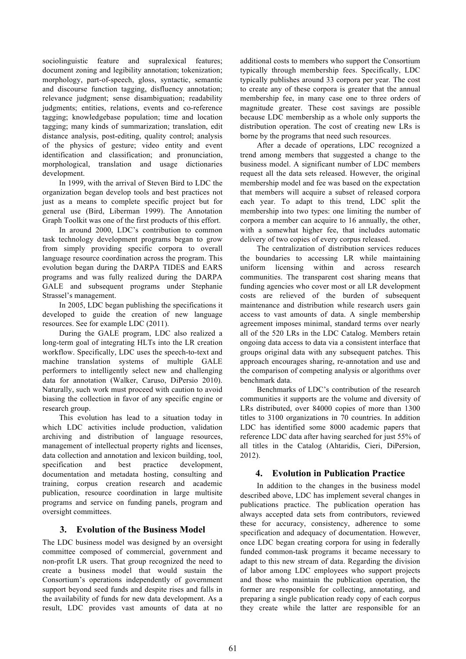sociolinguistic feature and supralexical features; document zoning and legibility annotation; tokenization; morphology, part-of-speech, gloss, syntactic, semantic and discourse function tagging, disfluency annotation; relevance judgment; sense disambiguation; readability judgments; entities, relations, events and co-reference tagging; knowledgebase population; time and location tagging; many kinds of summarization; translation, edit distance analysis, post-editing, quality control; analysis of the physics of gesture; video entity and event identification and classification; and pronunciation, morphological, translation and usage dictionaries development.

In 1999, with the arrival of Steven Bird to LDC the organization began develop tools and best practices not just as a means to complete specific project but for general use (Bird, Liberman 1999). The Annotation Graph Toolkit was one of the first products of this effort.

In around 2000, LDC's contribution to common task technology development programs began to grow from simply providing specific corpora to overall language resource coordination across the program. This evolution began during the DARPA TIDES and EARS programs and was fully realized during the DARPA GALE and subsequent programs under Stephanie Strassel's management.

In 2005, LDC began publishing the specifications it developed to guide the creation of new language resources. See for example LDC (2011).

During the GALE program, LDC also realized a long-term goal of integrating HLTs into the LR creation workflow. Specifically, LDC uses the speech-to-text and machine translation systems of multiple GALE performers to intelligently select new and challenging data for annotation (Walker, Caruso, DiPersio 2010). Naturally, such work must proceed with caution to avoid biasing the collection in favor of any specific engine or research group.

This evolution has lead to a situation today in which LDC activities include production, validation archiving and distribution of language resources, management of intellectual property rights and licenses, data collection and annotation and lexicon building, tool, specification and best practice development, documentation and metadata hosting, consulting and training, corpus creation research and academic publication, resource coordination in large multisite programs and service on funding panels, program and oversight committees.

## **3. Evolution of the Business Model**

The LDC business model was designed by an oversight committee composed of commercial, government and non-profit LR users. That group recognized the need to create a business model that would sustain the Consortium's operations independently of government support beyond seed funds and despite rises and falls in the availability of funds for new data development. As a result, LDC provides vast amounts of data at no

additional costs to members who support the Consortium typically through membership fees. Specifically, LDC typically publishes around 33 corpora per year. The cost to create any of these corpora is greater that the annual membership fee, in many case one to three orders of magnitude greater. These cost savings are possible because LDC membership as a whole only supports the distribution operation. The cost of creating new LRs is borne by the programs that need such resources.

After a decade of operations, LDC recognized a trend among members that suggested a change to the business model. A significant number of LDC members request all the data sets released. However, the original membership model and fee was based on the expectation that members will acquire a subset of released corpora each year. To adapt to this trend, LDC split the membership into two types: one limiting the number of corpora a member can acquire to 16 annually, the other, with a somewhat higher fee, that includes automatic delivery of two copies of every corpus released.

The centralization of distribution services reduces the boundaries to accessing LR while maintaining uniform licensing within and across research communities. The transparent cost sharing means that funding agencies who cover most or all LR development costs are relieved of the burden of subsequent maintenance and distribution while research users gain access to vast amounts of data. A single membership agreement imposes minimal, standard terms over nearly all of the 520 LRs in the LDC Catalog. Members retain ongoing data access to data via a consistent interface that groups original data with any subsequent patches. This approach encourages sharing, re-annotation and use and the comparison of competing analysis or algorithms over benchmark data.

Benchmarks of LDC's contribution of the research communities it supports are the volume and diversity of LRs distributed, over 84000 copies of more than 1300 titles to 3100 organizations in 70 countries. In addition LDC has identified some 8000 academic papers that reference LDC data after having searched for just 55% of all titles in the Catalog (Ahtaridis, Cieri, DiPersion, 2012).

#### **4. Evolution in Publication Practice**

In addition to the changes in the business model described above, LDC has implement several changes in publications practice. The publication operation has always accepted data sets from contributors, reviewed these for accuracy, consistency, adherence to some specification and adequacy of documentation. However, once LDC began creating corpora for using in federally funded common-task programs it became necessary to adapt to this new stream of data. Regarding the division of labor among LDC employees who support projects and those who maintain the publication operation, the former are responsible for collecting, annotating, and preparing a single publication ready copy of each corpus they create while the latter are responsible for an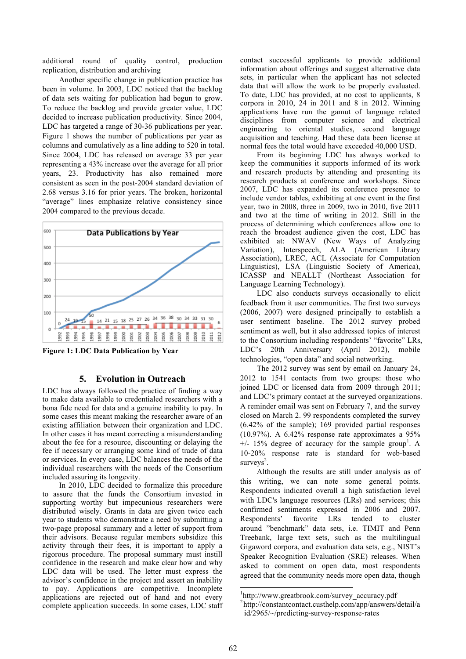additional round of quality control, production replication, distribution and archiving

Another specific change in publication practice has been in volume. In 2003, LDC noticed that the backlog of data sets waiting for publication had begun to grow. To reduce the backlog and provide greater value, LDC decided to increase publication productivity. Since 2004, LDC has targeted a range of 30-36 publications per year. Figure 1 shows the number of publications per year as columns and cumulatively as a line adding to 520 in total. Since 2004, LDC has released on average 33 per year representing a 43% increase over the average for all prior years, 23. Productivity has also remained more consistent as seen in the post-2004 standard deviation of 2.68 versus 3.16 for prior years. The broken, horizontal "average" lines emphasize relative consistency since 2004 compared to the previous decade.



**Figure 1: LDC Data Publication by Year**

## **5. Evolution in Outreach**

LDC has always followed the practice of finding a way to make data available to credentialed researchers with a bona fide need for data and a genuine inability to pay. In some cases this meant making the researcher aware of an existing affiliation between their organization and LDC. In other cases it has meant correcting a misunderstanding about the fee for a resource, discounting or delaying the fee if necessary or arranging some kind of trade of data or services. In every case, LDC balances the needs of the individual researchers with the needs of the Consortium included assuring its longevity.

In 2010, LDC decided to formalize this procedure to assure that the funds the Consortium invested in supporting worthy but impecunious researchers were distributed wisely. Grants in data are given twice each year to students who demonstrate a need by submitting a two-page proposal summary and a letter of support from their advisors. Because regular members subsidize this activity through their fees, it is important to apply a rigorous procedure. The proposal summary must instill confidence in the research and make clear how and why LDC data will be used. The letter must express the advisor's confidence in the project and assert an inability to pay. Applications are competitive. Incomplete applications are rejected out of hand and not every complete application succeeds. In some cases, LDC staff contact successful applicants to provide additional information about offerings and suggest alternative data sets, in particular when the applicant has not selected data that will allow the work to be properly evaluated. To date, LDC has provided, at no cost to applicants, 8 corpora in 2010, 24 in 2011 and 8 in 2012. Winning applications have run the gamut of language related disciplines from computer science and electrical engineering to oriental studies, second language acquisition and teaching. Had these data been license at normal fees the total would have exceeded 40,000 USD.

From its beginning LDC has always worked to keep the communities it supports informed of its work and research products by attending and presenting its research products at conference and workshops. Since 2007, LDC has expanded its conference presence to include vendor tables, exhibiting at one event in the first year, two in 2008, three in 2009, two in 2010, five 2011 and two at the time of writing in 2012. Still in the process of determining which conferences allow one to reach the broadest audience given the cost, LDC has exhibited at: NWAV (New Ways of Analyzing Variation), Interspeech, ALA (American Library Association), LREC, ACL (Associate for Computation Linguistics), LSA (Linguistic Society of America), ICASSP and NEALLT (Northeast Association for Language Learning Technology).

LDC also conducts surveys occasionally to elicit feedback from it user communities. The first two surveys (2006, 2007) were designed principally to establish a user sentiment baseline. The 2012 survey probed sentiment as well, but it also addressed topics of interest to the Consortium including respondents' "favorite" LRs, LDC's 20th Anniversary (April 2012), mobile technologies, "open data" and social networking.

The 2012 survey was sent by email on January 24, 2012 to 1541 contacts from two groups: those who joined LDC or licensed data from 2009 through 2011; and LDC's primary contact at the surveyed organizations. A reminder email was sent on February 7, and the survey closed on March 2. 99 respondents completed the survey (6.42% of the sample); 169 provided partial responses  $(10.97\%)$ . A 6.42% response rate approximates a 95%  $+/-$  15% degree of accuracy for the sample group<sup>1</sup>. A 10-20% response rate is standard for web-based surveys<sup>2</sup>.

Although the results are still under analysis as of this writing, we can note some general points. Respondents indicated overall a high satisfaction level with LDC's language resources (LRs) and services; this confirmed sentiments expressed in 2006 and 2007. Respondents' favorite LRs tended to cluster around "benchmark" data sets, i.e. TIMIT and Penn Treebank, large text sets, such as the multilingual Gigaword corpora, and evaluation data sets, e.g., NIST's Speaker Recognition Evaluation (SRE) releases. When asked to comment on open data, most respondents agreed that the community needs more open data, though

 $\frac{1}{1}$  ${}^{1}_{\text{http://www.greathrook.com/surve}}$  accuracy.pdf<br> ${}^{2}_{\text{http://constantoontoatocutoff}}$  with a com/onp/ongworal

<sup>&</sup>lt;sup>2</sup>http://constantcontact.custhelp.com/app/answers/detail/a \_id/2965/~/predicting-survey-response-rates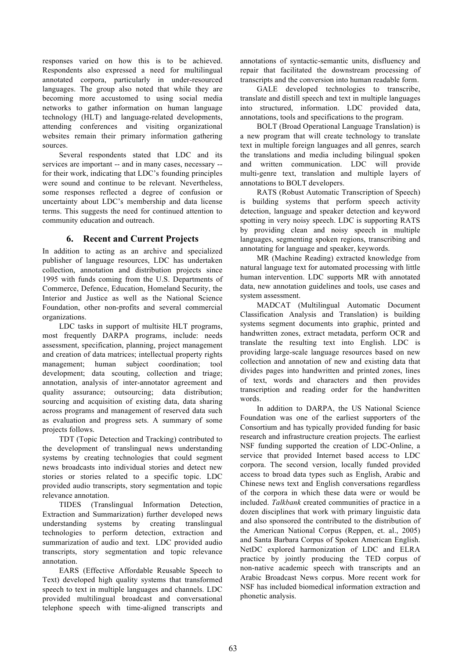responses varied on how this is to be achieved. Respondents also expressed a need for multilingual annotated corpora, particularly in under-resourced languages. The group also noted that while they are becoming more accustomed to using social media networks to gather information on human language technology (HLT) and language-related developments, attending conferences and visiting organizational websites remain their primary information gathering sources.

Several respondents stated that LDC and its services are important -- and in many cases, necessary - for their work, indicating that LDC's founding principles were sound and continue to be relevant. Nevertheless, some responses reflected a degree of confusion or uncertainty about LDC's membership and data license terms. This suggests the need for continued attention to community education and outreach.

## **6. Recent and Current Projects**

In addition to acting as an archive and specialized publisher of language resources, LDC has undertaken collection, annotation and distribution projects since 1995 with funds coming from the U.S. Departments of Commerce, Defence, Education, Homeland Security, the Interior and Justice as well as the National Science Foundation, other non-profits and several commercial organizations.

LDC tasks in support of multisite HLT programs, most frequently DARPA programs, include: needs assessment, specification, planning, project management and creation of data matrices; intellectual property rights management; human subject coordination; tool development; data scouting, collection and triage; annotation, analysis of inter-annotator agreement and quality assurance; outsourcing; data distribution; sourcing and acquisition of existing data, data sharing across programs and management of reserved data such as evaluation and progress sets. A summary of some projects follows.

TDT (Topic Detection and Tracking) contributed to the development of translingual news understanding systems by creating technologies that could segment news broadcasts into individual stories and detect new stories or stories related to a specific topic. LDC provided audio transcripts, story segmentation and topic relevance annotation.

TIDES (Translingual Information Detection, Extraction and Summarization) further developed news understanding systems by creating translingual technologies to perform detection, extraction and summarization of audio and text. LDC provided audio transcripts, story segmentation and topic relevance annotation.

EARS (Effective Affordable Reusable Speech to Text) developed high quality systems that transformed speech to text in multiple languages and channels. LDC provided multilingual broadcast and conversational telephone speech with time-aligned transcripts and annotations of syntactic-semantic units, disfluency and repair that facilitated the downstream processing of transcripts and the conversion into human readable form.

GALE developed technologies to transcribe, translate and distill speech and text in multiple languages into structured, information. LDC provided data, annotations, tools and specifications to the program.

BOLT (Broad Operational Language Translation) is a new program that will create technology to translate text in multiple foreign languages and all genres, search the translations and media including bilingual spoken and written communication. LDC will provide multi-genre text, translation and multiple layers of annotations to BOLT developers.

RATS (Robust Automatic Transcription of Speech) is building systems that perform speech activity detection, language and speaker detection and keyword spotting in very noisy speech. LDC is supporting RATS by providing clean and noisy speech in multiple languages, segmenting spoken regions, transcribing and annotating for language and speaker, keywords.

MR (Machine Reading) extracted knowledge from natural language text for automated processing with little human intervention. LDC supports MR with annotated data, new annotation guidelines and tools, use cases and system assessment.

MADCAT (Multilingual Automatic Document Classification Analysis and Translation) is building systems segment documents into graphic, printed and handwritten zones, extract metadata, perform OCR and translate the resulting text into English. LDC is providing large-scale language resources based on new collection and annotation of new and existing data that divides pages into handwritten and printed zones, lines of text, words and characters and then provides transcription and reading order for the handwritten words.

In addition to DARPA, the US National Science Foundation was one of the earliest supporters of the Consortium and has typically provided funding for basic research and infrastructure creation projects. The earliest NSF funding supported the creation of LDC-Online, a service that provided Internet based access to LDC corpora. The second version, locally funded provided access to broad data types such as English, Arabic and Chinese news text and English conversations regardless of the corpora in which these data were or would be included. *Talkbank* created communities of practice in a dozen disciplines that work with primary linguistic data and also sponsored the contributed to the distribution of the American National Corpus (Reppen, et. al., 2005) and Santa Barbara Corpus of Spoken American English. NetDC explored harmonization of LDC and ELRA practice by jointly producing the TED corpus of non-native academic speech with transcripts and an Arabic Broadcast News corpus. More recent work for NSF has included biomedical information extraction and phonetic analysis.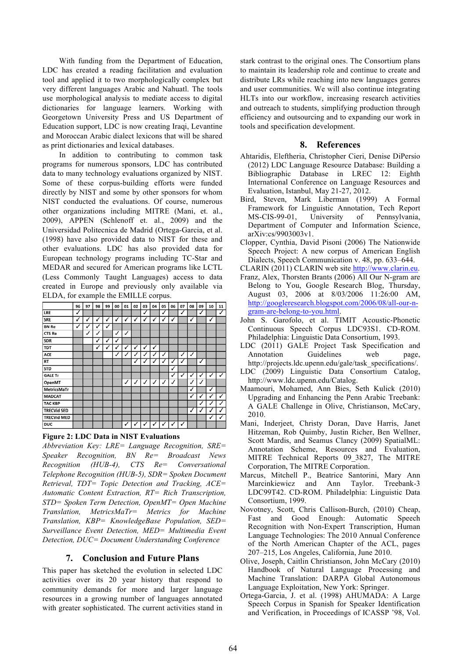With funding from the Department of Education, LDC has created a reading facilitation and evaluation tool and applied it to two morphologically complex but very different languages Arabic and Nahuatl. The tools use morphological analysis to mediate access to digital dictionaries for language learners. Working with Georgetown University Press and US Department of Education support, LDC is now creating Iraqi, Levantine and Moroccan Arabic dialect lexicons that will be shared as print dictionaries and lexical databases.

In addition to contributing to common task programs for numerous sponsors, LDC has contributed data to many technology evaluations organized by NIST. Some of these corpus-building efforts were funded directly by NIST and some by other sponsors for whom NIST conducted the evaluations. Of course, numerous other organizations including MITRE (Mani, et. al., 2009), APPEN (Schlenoff et. al., 2009) and the Universidad Politecnica de Madrid (Ortega-Garcia, et al. (1998) have also provided data to NIST for these and other evaluations. LDC has also provided data for European technology programs including TC-Star and MEDAR and secured for American programs like LCTL (Less Commonly Taught Languages) access to data created in Europe and previously only available via ELDA, for example the EMILLE corpus.

|                    | 96           | 97           | 98 | 99 | 00           | 01           | 02 | 03                   | 04               | 05           | 06 | 07           | 08           | 09                         | 10           | 11            |
|--------------------|--------------|--------------|----|----|--------------|--------------|----|----------------------|------------------|--------------|----|--------------|--------------|----------------------------|--------------|---------------|
| LRE                | $\checkmark$ |              |    |    |              |              |    | √                    |                  | $\checkmark$ |    | $\checkmark$ |              | $\checkmark$               |              | ✓             |
| <b>SRE</b>         | $\checkmark$ | √            | J  | ✓  | ✓            | ✓            | ✓  | $\tilde{\checkmark}$ | √                | $\checkmark$ | Ÿ  |              | $\checkmark$ |                            | $\checkmark$ |               |
| <b>BN Re</b>       | $\checkmark$ | $\checkmark$ | ✓  | ✓  |              |              |    |                      |                  |              |    |              |              |                            |              |               |
| CTS Re             |              | $\checkmark$ | J  |    | $\checkmark$ | J            |    |                      |                  |              |    |              |              |                            |              |               |
| <b>SDR</b>         |              |              | √  | √  | Ÿ            |              |    |                      |                  |              |    |              |              |                            |              |               |
| <b>TDT</b>         |              |              | ✓  | Ÿ  | v            | $\checkmark$ | ✓  | $\tilde{\checkmark}$ | ✓                |              |    |              |              |                            |              |               |
| ACE                |              |              |    |    | V            | $\checkmark$ | √  | ✓                    | √                | ✓            |    | √            | ✓            |                            |              |               |
| <b>RT</b>          |              |              |    |    |              |              | J  | v                    | √                | J            | J  | √            |              | √                          |              |               |
| <b>STD</b>         |              |              |    |    |              |              |    |                      |                  |              | ✓  |              |              |                            |              |               |
| <b>GALE Tr</b>     |              |              |    |    |              |              |    |                      |                  |              | ✓  | ✓            | $\checkmark$ | $\checkmark$               | ✓            | ✓             |
| OpenMT             |              |              |    |    |              | $\checkmark$ | J  | $\checkmark$         | $\boldsymbol{J}$ | $\checkmark$ | ℐ  |              | $\checkmark$ | $\checkmark$               |              |               |
| <b>MetricsMaTr</b> |              |              |    |    |              |              |    |                      |                  |              |    |              | $\checkmark$ |                            | ✓            |               |
| <b>MADCAT</b>      |              |              |    |    |              |              |    |                      |                  |              |    |              | Ÿ            | $\checkmark$               | ✓            | ✓             |
| <b>TAC KBP</b>     |              |              |    |    |              |              |    |                      |                  |              |    |              |              | $\boldsymbol{\mathcal{J}}$ | J            | Î.            |
| <b>TRECVid SED</b> |              |              |    |    |              |              |    |                      |                  |              |    |              | $\checkmark$ | v                          | √            | $\mathcal{J}$ |
| <b>TRECVId MED</b> |              |              |    |    |              |              |    |                      |                  |              |    |              |              |                            | √            | ✓             |
| DUC                |              |              |    |    |              | ✓            | √  | ۷                    |                  |              |    | ↵            |              |                            |              |               |

#### **Figure 2: LDC Data in NIST Evaluations**

*Abbreviation Key: LRE= Language Recognition, SRE= Speaker Recognition, BN Re= Broadcast News Recognition (HUB-4), CTS Re= Conversational Telephone Recognition (HUB-5), SDR= Spoken Document Retrieval, TDT= Topic Detection and Tracking, ACE= Automatic Content Extraction, RT= Rich Transcription, STD= Spoken Term Detection, OpenMT= Open Machine Translation, MetricsMaTr= Metrics for Machine Translation, KBP= KnowledgeBase Population, SED= Surveillance Event Detection, MED= Multimedia Event Detection, DUC= Document Understanding Conference*

#### **7. Conclusion and Future Plans**

This paper has sketched the evolution in selected LDC activities over its 20 year history that respond to community demands for more and larger language resources in a growing number of languages annotated with greater sophisticated. The current activities stand in stark contrast to the original ones. The Consortium plans to maintain its leadership role and continue to create and distribute LRs while reaching into new languages genres and user communities. We will also continue integrating HLTs into our workflow, increasing research activities and outreach to students, simplifying production through efficiency and outsourcing and to expanding our work in tools and specification development.

#### **8. References**

- Ahtaridis, Eleftheria, Christopher Cieri, Denise DiPersio (2012) LDC Language Resource Database: Building a Bibliographic Database in LREC 12: Eighth International Conference on Language Resources and Evaluation, Istanbul, May 21-27, 2012.
- Bird, Steven, Mark Liberman (1999) A Formal Framework for Linguistic Annotation, Tech Report MS-CIS-99-01, University of Pennsylvania, Department of Computer and Information Science, arXiv:cs/9903003v1.
- Clopper, Cynthia, David Pisoni (2006) The Nationwide Speech Project: A new corpus of American English Dialects, Speech Communication v. 48, pp. 633–644.
- CLARIN (2011) CLARIN web site http://www.clarin.eu.
- Franz, Alex, Thorsten Brants (2006) All Our N-gram are Belong to You, Google Research Blog, Thursday, August 03, 2006 at 8/03/2006 11:26:00 AM, http://googleresearch.blogspot.com/2006/08/all-our-ngram-are-belong-to-you.html.
- John S. Garofolo, et al. TIMIT Acoustic-Phonetic Continuous Speech Corpus LDC93S1. CD-ROM. Philadelphia: Linguistic Data Consortium, 1993.
- LDC (2011) GALE Project Task Specification and Annotation Guidelines web page, http://projects.ldc.upenn.edu/gale/task\_specifications/.
- LDC (2009) Linguistic Data Consortium Catalog, http://www.ldc.upenn.edu/Catalog.
- Maamouri, Mohamed, Ann Bies, Seth Kulick (2010) Upgrading and Enhancing the Penn Arabic Treebank: A GALE Challenge in Olive, Christianson, McCary, 2010.
- Mani, Inderjeet, Christy Doran, Dave Harris, Janet Hitzeman, Rob Quimby, Justin Richer, Ben Wellner, Scott Mardis, and Seamus Clancy (2009) SpatialML: Annotation Scheme, Resources and Evaluation, MITRE Technical Reports 09\_3827, The MITRE Corporation, The MITRE Corporation.
- Marcus, Mitchell P., Beatrice Santorini, Mary Ann Marcinkiewicz and Ann Taylor. Treebank-3 LDC99T42. CD-ROM. Philadelphia: Linguistic Data Consortium, 1999.
- Novotney, Scott, Chris Callison-Burch, (2010) Cheap, Fast and Good Enough: Automatic Speech Recognition with Non-Expert Transcription, Human Language Technologies: The 2010 Annual Conference of the North American Chapter of the ACL, pages 207–215, Los Angeles, California, June 2010.
- Olive, Joseph, Caitlin Christianson, John McCary (2010) Handbook of Natural Language Processing and Machine Translation: DARPA Global Autonomous Language Exploitation, New York: Springer.
- Ortega-Garcia, J. et al. (1998) AHUMADA: A Large Speech Corpus in Spanish for Speaker Identification and Verification, in Proceedings of ICASSP '98, Vol.